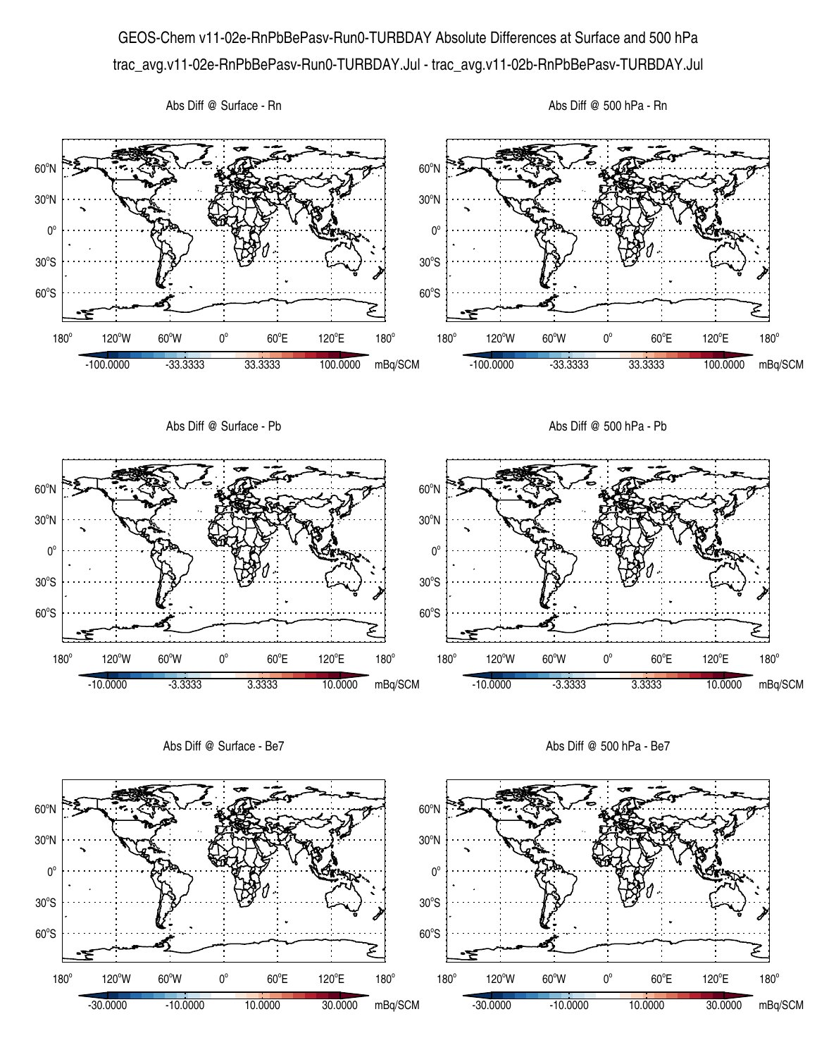GEOS-Chem v11-02e-RnPbBePasv-Run0-TURBDAY Absolute Differences at Surface and 500 hPa trac\_avg.v11-02e-RnPbBePasv-Run0-TURBDAY.Jul - trac\_avg.v11-02b-RnPbBePasv-TURBDAY.Jul





 $60^{\circ}E$ 

-10.0000 -3.3333 3.3333 10.0000 mBq/SCM

120°E

 $180^\circ$ 

چ

60°S

 $180^\circ$ 

 $30^{\circ}$ S

 $0^{\circ}$ 

120°W 60°W 0°

60°S

180°

 $30^{\circ}$ S

 $0^{\circ}$ 

Abs Diff @ 500 hPa - Be7

 $60^{\circ}$ E

-10.0000 -3.3333 3.3333 10.0000 mBq/SCM

120°E

 $180^\circ$ 

جح

120°W 60°W 0°